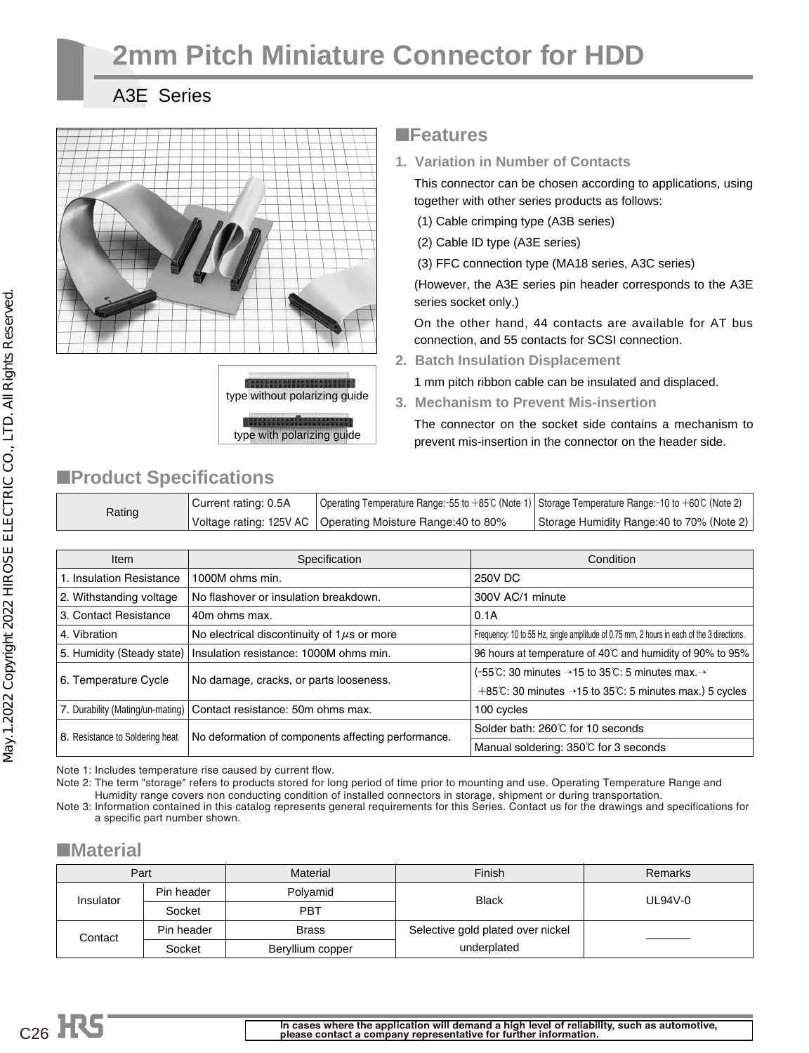# **2mm Pitch Miniature Connector for HDD**

### A3E Series



### ■**Features**

**1. Variation in Number of Contacts**

This connector can be chosen according to applications, using together with other series products as follows:

- (1) Cable crimping type (A3B series)
- (2) Cable ID type (A3E series)

(3) FFC connection type (MA18 series, A3C series)

(However, the A3E series pin header corresponds to the A3E series socket only.)

On the other hand, 44 contacts are available for AT bus connection, and 55 contacts for SCSI connection.

**2. Batch Insulation Displacement**

1 mm pitch ribbon cable can be insulated and displaced.

**3. Mechanism to Prevent Mis-insertion**

The connector on the socket side contains a mechanism to prevent mis-insertion in the connector on the header side.

# ■**Product Specifications**

| Rating | Current rating: 0.5A | Operating Temperature Range: -55 to +85℃ (Note 1)   Storage Temperature Range: -10 to +60℃ (Note 2) |                                            |
|--------|----------------------|-----------------------------------------------------------------------------------------------------|--------------------------------------------|
|        |                      | Voltage rating: 125V AC   Operating Moisture Range: 40 to 80%                                       | Storage Humidity Range: 40 to 70% (Note 2) |

| <b>Item</b>                     | Specification                                                        | Condition                                                                                 |
|---------------------------------|----------------------------------------------------------------------|-------------------------------------------------------------------------------------------|
| 1. Insulation Resistance        | 1000M ohms min.                                                      | 250V DC                                                                                   |
| 2. Withstanding voltage         | No flashover or insulation breakdown.                                | 300V AC/1 minute                                                                          |
| 3. Contact Resistance           | 40m ohms max.                                                        | 0.1A                                                                                      |
| 4. Vibration                    | No electrical discontinuity of $1\mu s$ or more                      | Frequency: 10 to 55 Hz, single amplitude of 0.75 mm, 2 hours in each of the 3 directions. |
| 5. Humidity (Steady state)      | Insulation resistance: 1000M ohms min.                               | 96 hours at temperature of 40°C and humidity of 90% to 95%                                |
| 6. Temperature Cycle            | No damage, cracks, or parts looseness.                               | (-55°C: 30 minutes $\rightarrow$ 15 to 35°C: 5 minutes max. $\rightarrow$                 |
|                                 |                                                                      | +85°C: 30 minutes $\rightarrow$ 15 to 35°C: 5 minutes max.) 5 cycles                      |
|                                 | 7. Durability (Mating/un-mating)   Contact resistance: 50m ohms max. | 100 cycles                                                                                |
| 8. Resistance to Soldering heat | No deformation of components affecting performance.                  | Solder bath: 260℃ for 10 seconds                                                          |
|                                 |                                                                      | Manual soldering: 350℃ for 3 seconds                                                      |

Note 1: Includes temperature rise caused by current flow.

Note 2: The term "storage" refers to products stored for long period of time prior to mounting and use. Operating Temperature Range and Humidity range covers non conducting condition of installed connectors in storage, shipment or during transportation. Note 3: Information contained in this catalog represents general requirements for this Series. Contact us for the drawings and specifications for

a specific part number shown.

### ■**Material**

| Part                  |            | Material         | Finish                            | Remarks |  |
|-----------------------|------------|------------------|-----------------------------------|---------|--|
| Insulator             | Pin header | Polyamid         | <b>Black</b>                      | UL94V-0 |  |
|                       | Socket     | PBT              |                                   |         |  |
| Pin header<br>Contact |            | <b>Brass</b>     | Selective gold plated over nickel |         |  |
|                       | Socket     | Beryllium copper | underplated                       |         |  |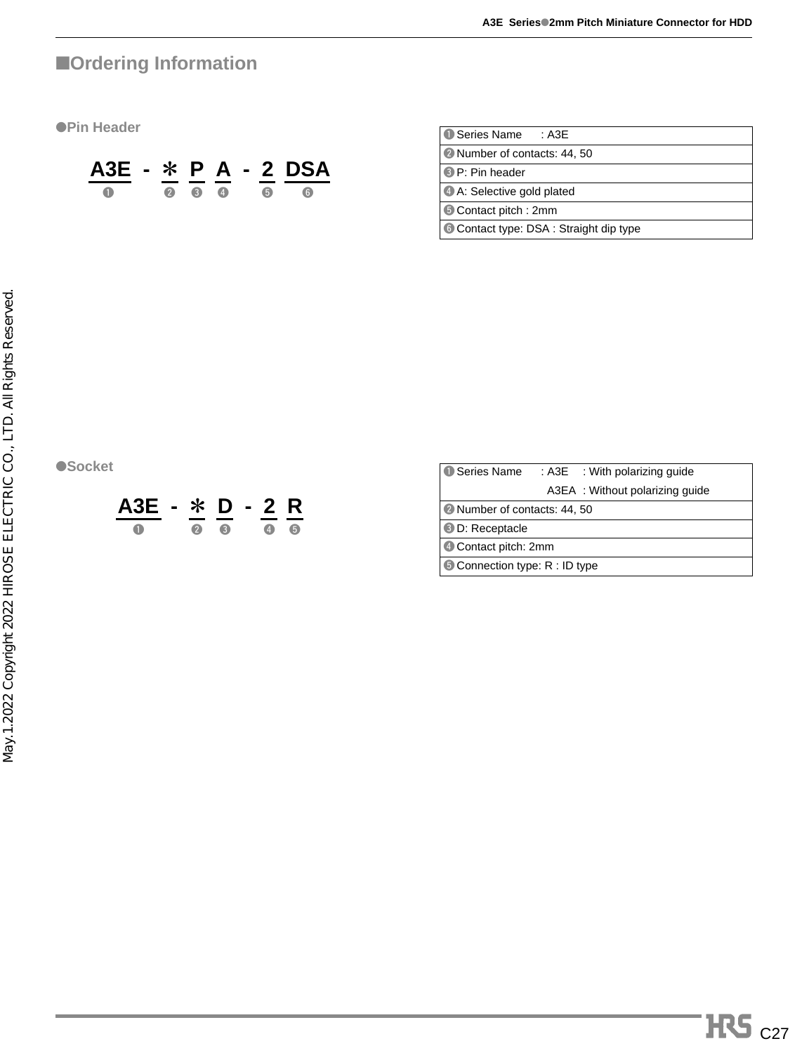# ■**Ordering Information**

●**Pin Header**



| <b>O</b> Series Name<br>: A3F        |
|--------------------------------------|
| 2 Number of contacts: 44, 50         |
| <b>B</b> P: Pin header               |
| 4 A: Selective gold plated           |
| Contact pitch: 2mm                   |
| Contact type: DSA: Straight dip type |

●**Socket** 



| <b>O</b> Series Name         | : A3E : With polarizing quide   |
|------------------------------|---------------------------------|
|                              | A3EA : Without polarizing quide |
| 2 Number of contacts: 44, 50 |                                 |
| <b>3 D: Receptacle</b>       |                                 |
| 4 Contact pitch: 2mm         |                                 |
| Connection type: R : ID type |                                 |
|                              |                                 |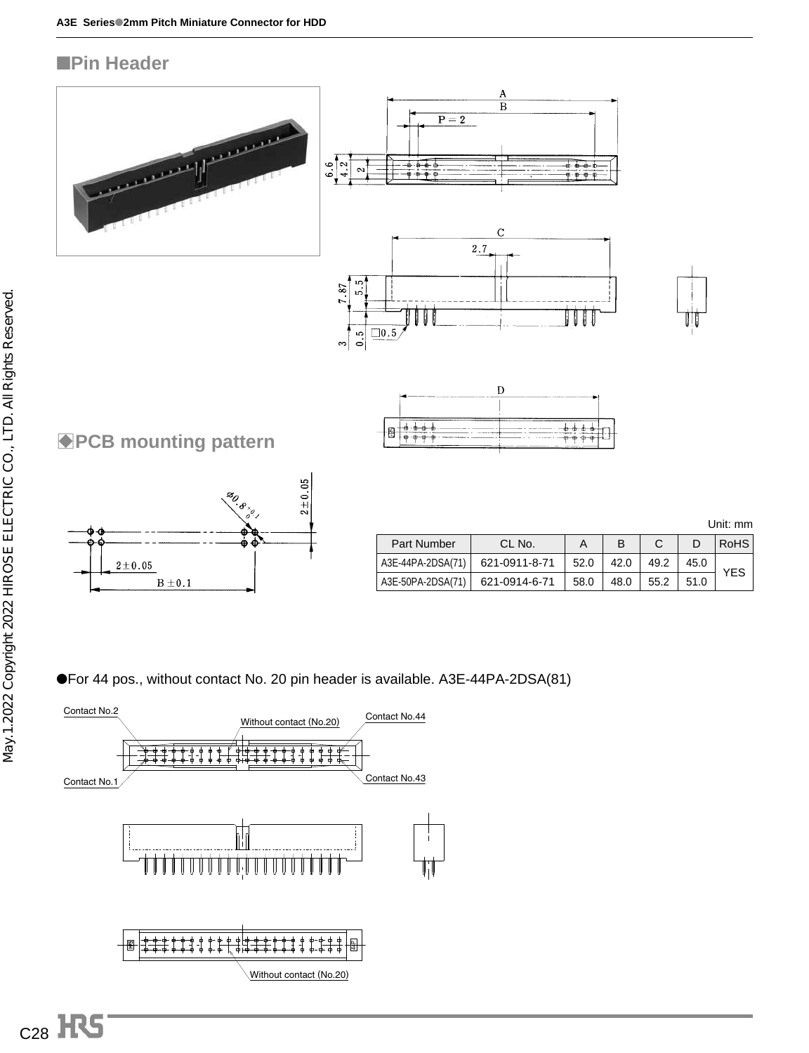### ■**Pin Header**



●For 44 pos., without contact No. 20 pin header is available. A3E-44PA-2DSA(81)

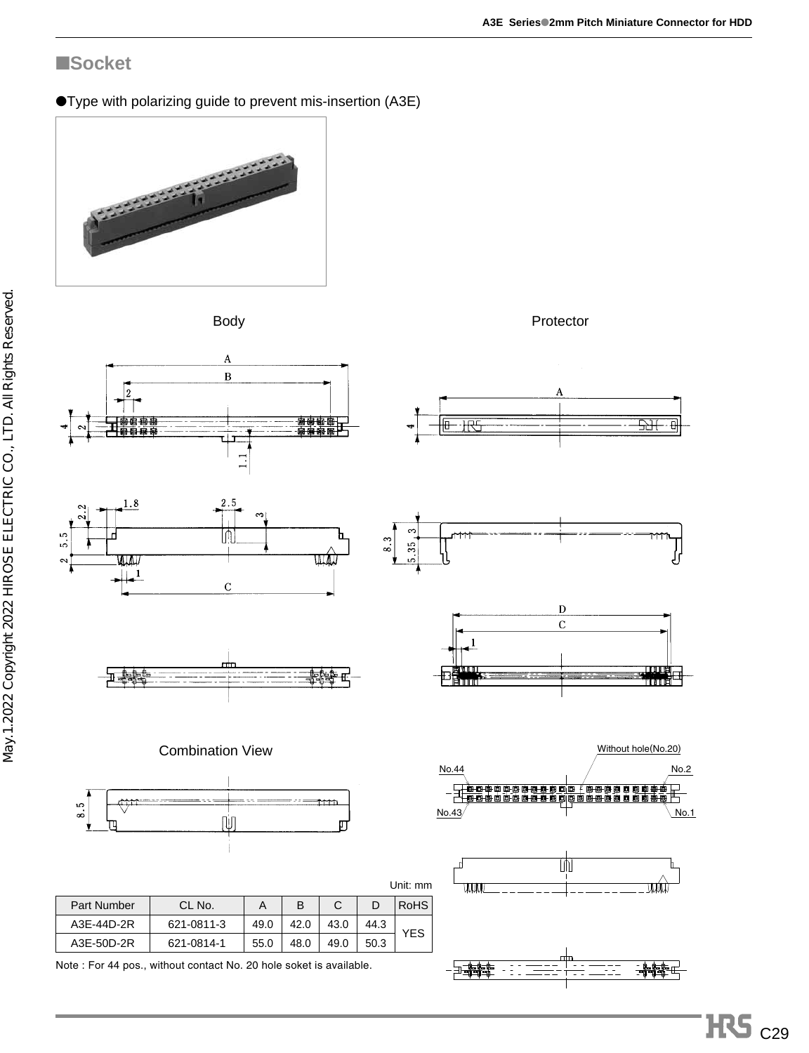### ■**Socket**

●Type with polarizing guide to prevent mis-insertion (A3E)







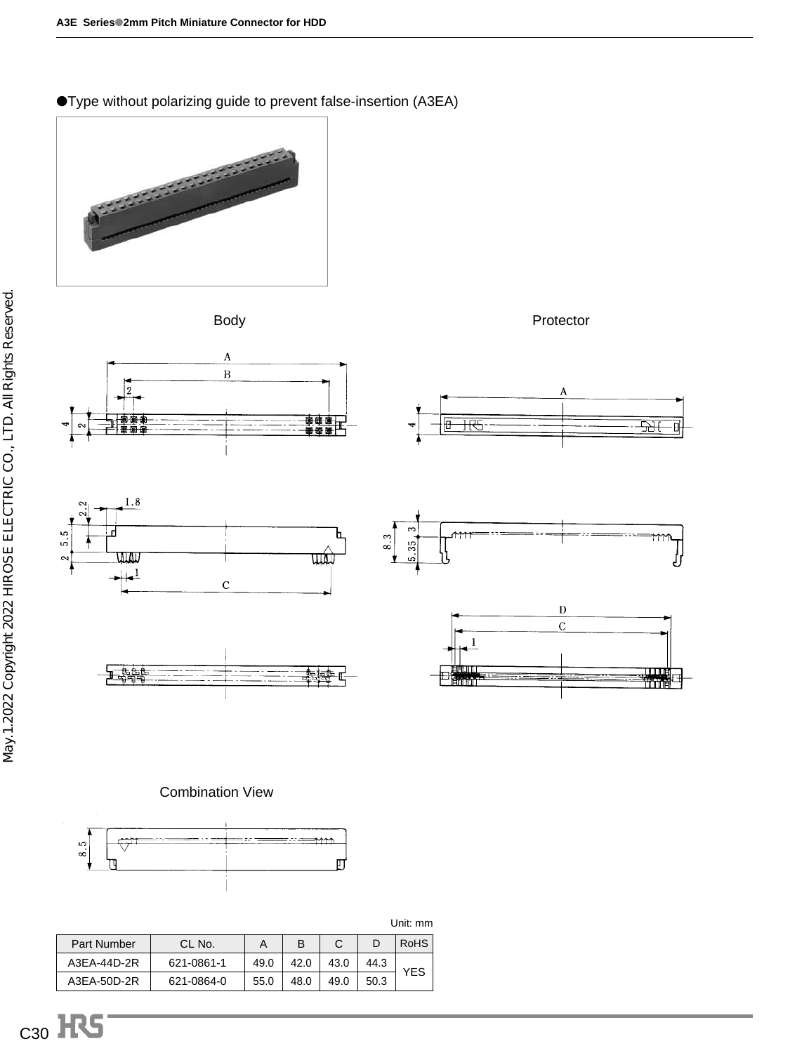●Type without polarizing guide to prevent false-insertion (A3EA)







<u>- न्त्रभ</u>

可



整體中



王體學





#### Combination View



Unit: mm

| Part Number | CI No.     |      |      |      |      | RoHS |
|-------------|------------|------|------|------|------|------|
| A3EA-44D-2R | 621-0861-1 | 49.0 | 42.0 | 43.0 | 44.3 | YES  |
| A3EA-50D-2R | 621-0864-0 | 55.0 | 48.0 | 49.0 | 50.3 |      |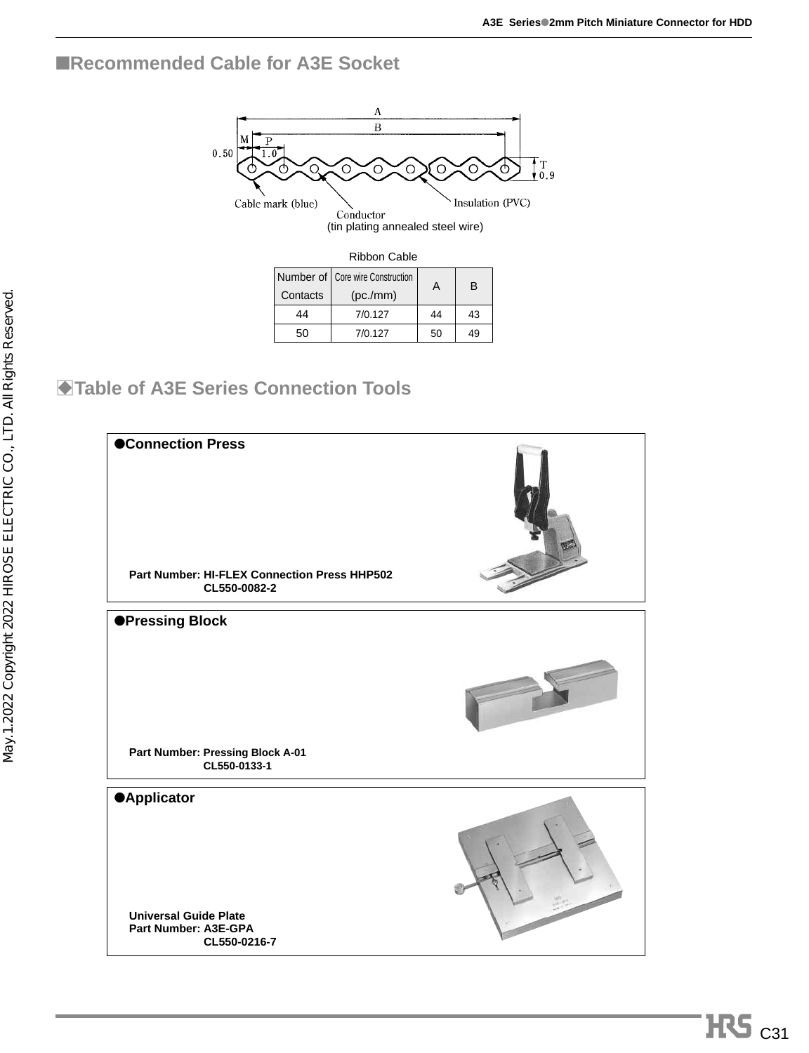### ■**Recommended Cable for A3E Socket**



(tin plating annealed steel wire)

| Ribbon Cable                       |         |    |    |  |  |  |  |  |
|------------------------------------|---------|----|----|--|--|--|--|--|
| Number of   Core wire Construction | А       | B  |    |  |  |  |  |  |
| Contacts                           |         |    |    |  |  |  |  |  |
| 44                                 | 7/0.127 | 44 | 43 |  |  |  |  |  |
| 50                                 | 7/0.127 | 50 | 49 |  |  |  |  |  |

# $\blacktriangleright$  **Table of A3E Series Connection Tools**

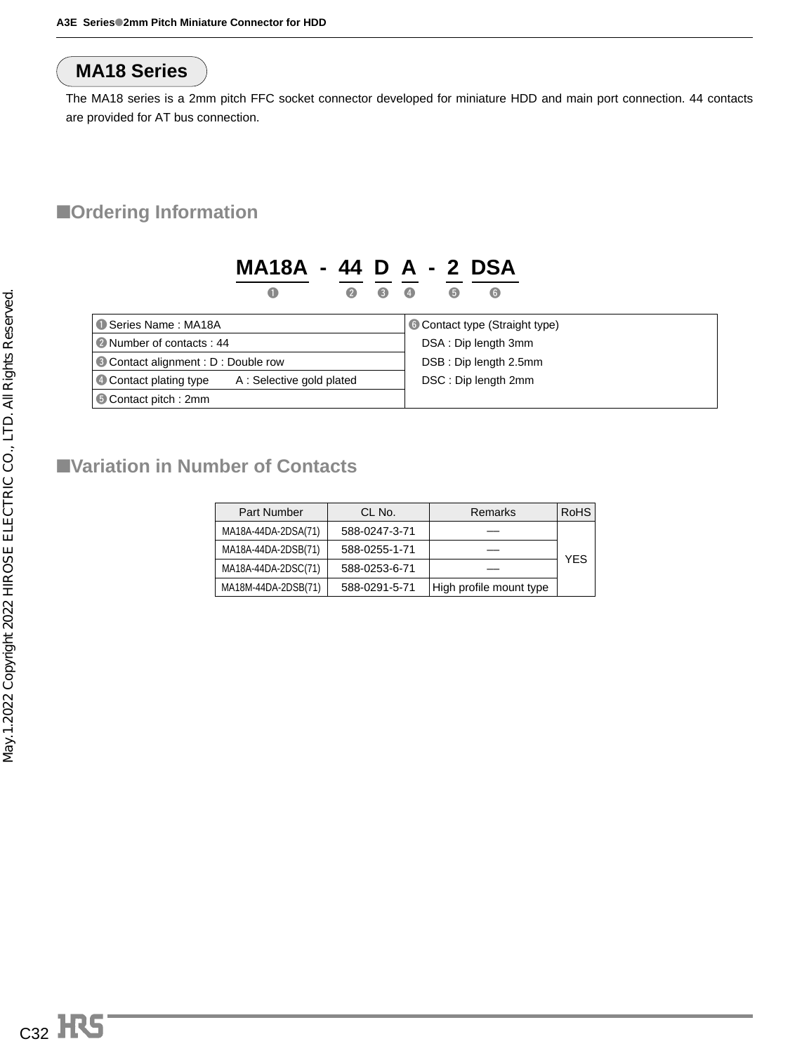# **MA18 Series**

The MA18 series is a 2mm pitch FFC socket connector developed for miniature HDD and main port connection. 44 contacts are provided for AT bus connection.

### ■**Ordering Information**

|                                                           | MA18A - 44 D A - 2 DSA |             |   |                       |   |                                       |  |  |
|-----------------------------------------------------------|------------------------|-------------|---|-----------------------|---|---------------------------------------|--|--|
|                                                           | O                      | $\mathbf 2$ | G | $\left( 4\right)$     | 6 | $\odot$                               |  |  |
| Series Name: MA18A                                        |                        |             |   |                       |   | <b>6 Contact type (Straight type)</b> |  |  |
| • Number of contacts: 44                                  |                        |             |   | DSA: Dip length 3mm   |   |                                       |  |  |
| Contact alignment : D : Double row                        |                        |             |   | DSB: Dip length 2.5mm |   |                                       |  |  |
| <b>4 Contact plating type</b><br>A: Selective gold plated |                        |             |   | DSC: Dip length 2mm   |   |                                       |  |  |
| <b>6</b> Contact pitch: 2mm                               |                        |             |   |                       |   |                                       |  |  |

## ■**Variation in Number of Contacts**

| <b>Part Number</b>                   | CL No.        | <b>Remarks</b>          | RoHS |
|--------------------------------------|---------------|-------------------------|------|
| MA18A-44DA-2DSA(71)                  | 588-0247-3-71 |                         |      |
| MA18A-44DA-2DSB(71)                  | 588-0255-1-71 |                         |      |
| MA18A-44DA-2DSC(71)<br>588-0253-6-71 |               |                         | YES  |
| MA18M-44DA-2DSB(71)                  | 588-0291-5-71 | High profile mount type |      |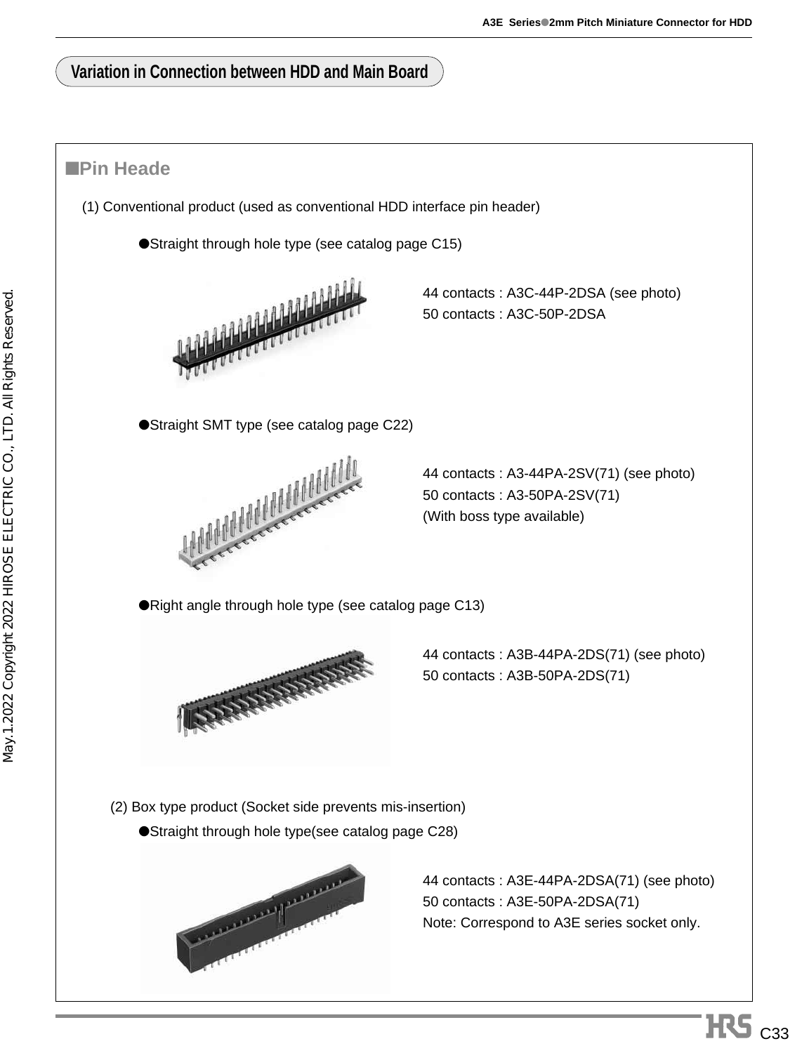### **Variation in Connection between HDD and Main Board**

### ■**Pin Heade**

- (1) Conventional product (used as conventional HDD interface pin header)
	- ●Straight through hole type (see catalog page C15)



44 contacts : A3C-44P-2DSA (see photo) 50 contacts : A3C-50P-2DSA

●Straight SMT type (see catalog page C22)



44 contacts : A3-44PA-2SV(71) (see photo) 50 contacts : A3-50PA-2SV(71) (With boss type available)

●Right angle through hole type (see catalog page C13)



44 contacts : A3B-44PA-2DS(71) (see photo) 50 contacts : A3B-50PA-2DS(71)

(2) Box type product (Socket side prevents mis-insertion)

●Straight through hole type(see catalog page C28)



44 contacts : A3E-44PA-2DSA(71) (see photo) 50 contacts : A3E-50PA-2DSA(71) Note: Correspond to A3E series socket only.